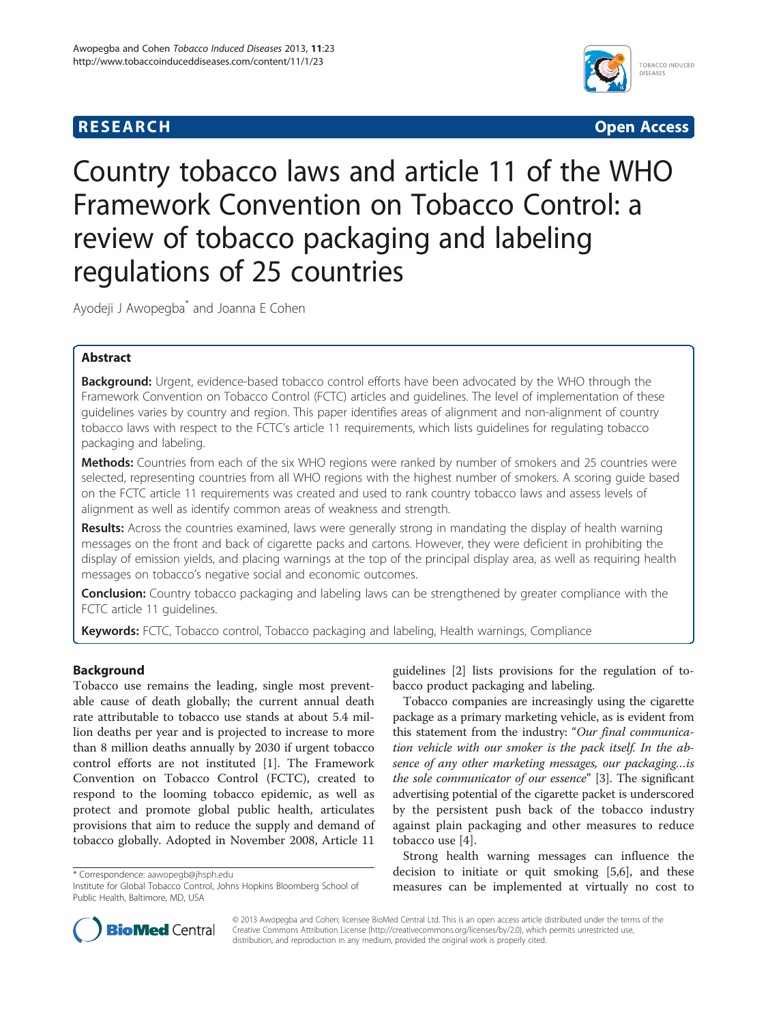## **RESEARCH CHINESE ARCH CHINESE ARCH CHINESE ARCH <b>CHINESE ARCH**



# Country tobacco laws and article 11 of the WHO Framework Convention on Tobacco Control: a review of tobacco packaging and labeling regulations of 25 countries

Ayodeji J Awopegba<sup>\*</sup> and Joanna E Cohen

## Abstract

Background: Urgent, evidence-based tobacco control efforts have been advocated by the WHO through the Framework Convention on Tobacco Control (FCTC) articles and guidelines. The level of implementation of these guidelines varies by country and region. This paper identifies areas of alignment and non-alignment of country tobacco laws with respect to the FCTC's article 11 requirements, which lists guidelines for regulating tobacco packaging and labeling.

**Methods:** Countries from each of the six WHO regions were ranked by number of smokers and 25 countries were selected, representing countries from all WHO regions with the highest number of smokers. A scoring guide based on the FCTC article 11 requirements was created and used to rank country tobacco laws and assess levels of alignment as well as identify common areas of weakness and strength.

Results: Across the countries examined, laws were generally strong in mandating the display of health warning messages on the front and back of cigarette packs and cartons. However, they were deficient in prohibiting the display of emission yields, and placing warnings at the top of the principal display area, as well as requiring health messages on tobacco's negative social and economic outcomes.

**Conclusion:** Country tobacco packaging and labeling laws can be strengthened by greater compliance with the FCTC article 11 guidelines.

Keywords: FCTC, Tobacco control, Tobacco packaging and labeling, Health warnings, Compliance

## Background

Tobacco use remains the leading, single most preventable cause of death globally; the current annual death rate attributable to tobacco use stands at about 5.4 million deaths per year and is projected to increase to more than 8 million deaths annually by 2030 if urgent tobacco control efforts are not instituted [\[1\]](#page-7-0). The Framework Convention on Tobacco Control (FCTC), created to respond to the looming tobacco epidemic, as well as protect and promote global public health, articulates provisions that aim to reduce the supply and demand of tobacco globally. Adopted in November 2008, Article 11

\* Correspondence: [aawopegb@jhsph.edu](mailto:aawopegb@jhsph.edu)

guidelines [[2\]](#page-7-0) lists provisions for the regulation of tobacco product packaging and labeling.

Tobacco companies are increasingly using the cigarette package as a primary marketing vehicle, as is evident from this statement from the industry: "Our final communication vehicle with our smoker is the pack itself. In the absence of any other marketing messages, our packaging... is<br>the sole communicator of our essence"  $[3]$ . The significant the sole communicator of our essence" [[3\]](#page-7-0). The significant advertising potential of the cigarette packet is underscored by the persistent push back of the tobacco industry against plain packaging and other measures to reduce tobacco use [\[4](#page-7-0)].

Strong health warning messages can influence the decision to initiate or quit smoking [\[5,6](#page-7-0)], and these measures can be implemented at virtually no cost to



© 2013 Awopegba and Cohen; licensee BioMed Central Ltd. This is an open access article distributed under the terms of the Creative Commons Attribution License (<http://creativecommons.org/licenses/by/2.0>), which permits unrestricted use, distribution, and reproduction in any medium, provided the original work is properly cited.

Institute for Global Tobacco Control, Johns Hopkins Bloomberg School of Public Health, Baltimore, MD, USA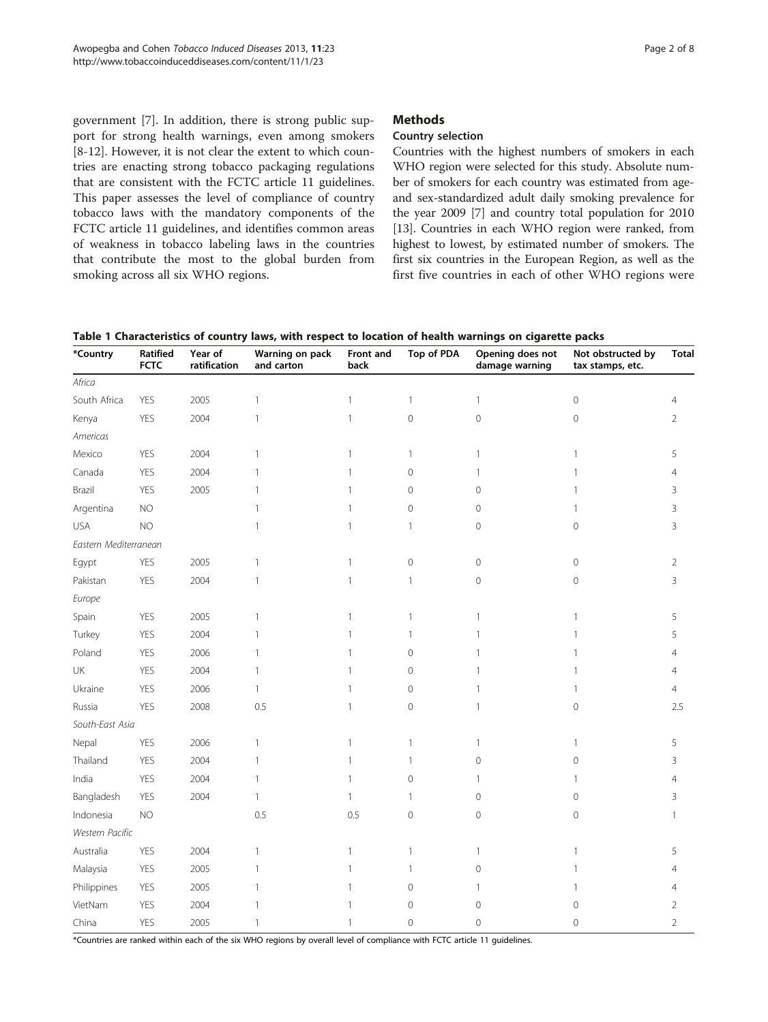<span id="page-1-0"></span>government [[7\]](#page-7-0). In addition, there is strong public support for strong health warnings, even among smokers [[8-12](#page-7-0)]. However, it is not clear the extent to which countries are enacting strong tobacco packaging regulations that are consistent with the FCTC article 11 guidelines. This paper assesses the level of compliance of country tobacco laws with the mandatory components of the FCTC article 11 guidelines, and identifies common areas of weakness in tobacco labeling laws in the countries that contribute the most to the global burden from smoking across all six WHO regions.

## **Methods**

## Country selection

Countries with the highest numbers of smokers in each WHO region were selected for this study. Absolute number of smokers for each country was estimated from ageand sex-standardized adult daily smoking prevalence for the year 2009 [[7](#page-7-0)] and country total population for 2010 [[13](#page-7-0)]. Countries in each WHO region were ranked, from highest to lowest, by estimated number of smokers. The first six countries in the European Region, as well as the first five countries in each of other WHO regions were

|  |  | Table 1 Characteristics of country laws, with respect to location of health warnings on cigarette packs |
|--|--|---------------------------------------------------------------------------------------------------------|
|--|--|---------------------------------------------------------------------------------------------------------|

| *Country              | Ratified<br><b>FCTC</b> | Year of<br>ratification | Warning on pack<br>and carton | Front and<br>back | Top of PDA          | Opening does not<br>damage warning | Not obstructed by<br>tax stamps, etc. | <b>Total</b>   |
|-----------------------|-------------------------|-------------------------|-------------------------------|-------------------|---------------------|------------------------------------|---------------------------------------|----------------|
| Africa                |                         |                         |                               |                   |                     |                                    |                                       |                |
| South Africa          | <b>YES</b>              | 2005                    | $\mathbf{1}$                  | $\mathbb{1}$      | $\mathbb{1}$        | $\overline{1}$                     | $\mathbf 0$                           | $\overline{4}$ |
| Kenya                 | <b>YES</b>              | 2004                    | 1                             | $\mathbb{1}$      | $\mathbf 0$         | $\mathbf 0$                        | $\mathbf 0$                           | 2              |
| Americas              |                         |                         |                               |                   |                     |                                    |                                       |                |
| Mexico                | <b>YES</b>              | 2004                    | 1                             | $\mathbf{1}$      | $\mathbf{1}$        | $\mathbf{1}$                       | $\mathbf{1}$                          | 5              |
| Canada                | <b>YES</b>              | 2004                    | $\mathbf{1}$                  | $\mathbf{1}$      | $\mathbf 0$         | $\mathbf{1}$                       | $\mathbf{1}$                          | 4              |
| Brazil                | <b>YES</b>              | 2005                    | $\mathbf{1}$                  | $\mathbf{1}$      | $\mathbf 0$         | $\mathbf{0}$                       | $\mathbf{1}$                          | 3              |
| Argentina             | $\rm NO$                |                         | 1                             | 1                 | $\mathbf 0$         | $\mathbf 0$                        | $\mathbf{1}$                          | 3              |
| <b>USA</b>            | <b>NO</b>               |                         | $\mathbf{1}$                  | $\mathbf{1}$      | $\mathbf{1}$        | $\mathbf 0$                        | $\mathbf 0$                           | 3              |
| Eastern Mediterranean |                         |                         |                               |                   |                     |                                    |                                       |                |
| Egypt                 | <b>YES</b>              | 2005                    | $\mathbf{1}$                  | $\mathbb{1}$      | $\mathbf 0$         | $\mathbf 0$                        | $\mathbf 0$                           | $\overline{c}$ |
| Pakistan              | <b>YES</b>              | 2004                    | 1                             | $\mathbb{1}$      | $\mathbb{1}$        | $\mathbf 0$                        | $\mathbf 0$                           | 3              |
| Europe                |                         |                         |                               |                   |                     |                                    |                                       |                |
| Spain                 | <b>YES</b>              | 2005                    | 1                             | 1                 | 1                   | $\mathbf{1}$                       | $\mathbf{1}$                          | 5              |
| Turkey                | <b>YES</b>              | 2004                    | 1                             | $\mathbf{1}$      | 1                   | $\mathbf{1}$                       | $\mathbf{1}$                          | 5              |
| Poland                | <b>YES</b>              | 2006                    | 1                             | $\mathbf{1}$      | $\mathsf{O}\xspace$ | $\mathbf{1}$                       | $\mathbf{1}$                          | 4              |
| UK                    | <b>YES</b>              | 2004                    | $\mathbf{1}$                  | $\mathbf{1}$      | $\mathbf 0$         | $\mathbf{1}$                       | $\mathbf{1}$                          | 4              |
| Ukraine               | <b>YES</b>              | 2006                    | 1                             | $\mathbf{1}$      | $\mathbf 0$         | $\mathbf{1}$                       | $\mathbf{1}$                          | $\overline{4}$ |
| Russia                | <b>YES</b>              | 2008                    | 0.5                           | $\mathbf{1}$      | $\mathbf 0$         | $\mathbf{1}$                       | $\mathbf 0$                           | 2.5            |
| South-East Asia       |                         |                         |                               |                   |                     |                                    |                                       |                |
| Nepal                 | <b>YES</b>              | 2006                    | $\mathbf{1}$                  | $\mathbf{1}$      | 1                   | $\mathbf{1}$                       | $\mathbf{1}$                          | 5              |
| Thailand              | <b>YES</b>              | 2004                    | $\mathbf{1}$                  | 1                 | $\mathbf{1}$        | $\mathbf 0$                        | $\mathbf 0$                           | 3              |
| India                 | <b>YES</b>              | 2004                    | 1                             | $\mathbf{1}$      | $\mathbf 0$         | $\mathbf{1}$                       | $\mathbf{1}$                          | 4              |
| Bangladesh            | <b>YES</b>              | 2004                    | $\mathbf{1}$                  | 1                 | 1                   | $\mathbf 0$                        | $\mathbf 0$                           | 3              |
| Indonesia             | NO                      |                         | 0.5                           | 0.5               | $\mathbf 0$         | $\mathsf O$                        | $\mathbf 0$                           | 1              |
| Western Pacific       |                         |                         |                               |                   |                     |                                    |                                       |                |
| Australia             | <b>YES</b>              | 2004                    | 1                             | $\mathbf{1}$      | 1                   | $\mathbf{1}$                       | $\mathbf{1}$                          | 5              |
| Malaysia              | <b>YES</b>              | 2005                    | $\mathbf{1}$                  | $\mathbf{1}$      | $\mathbf{1}$        | $\mathbf 0$                        | $\mathbf{1}$                          | 4              |
| Philippines           | <b>YES</b>              | 2005                    | $\mathbf{1}$                  | 1                 | $\mathbf 0$         | $\mathbf{1}$                       | $\mathbf{1}$                          | 4              |
| VietNam               | <b>YES</b>              | 2004                    | 1                             | $\mathbf{1}$      | $\mathbf 0$         | $\mathbf 0$                        | $\circ$                               | 2              |
| China                 | <b>YES</b>              | 2005                    | 1                             | $\mathbf{1}$      | $\mathbf 0$         | $\mathbf 0$                        | $\mathbf 0$                           | $\overline{2}$ |

\*Countries are ranked within each of the six WHO regions by overall level of compliance with FCTC article 11 guidelines.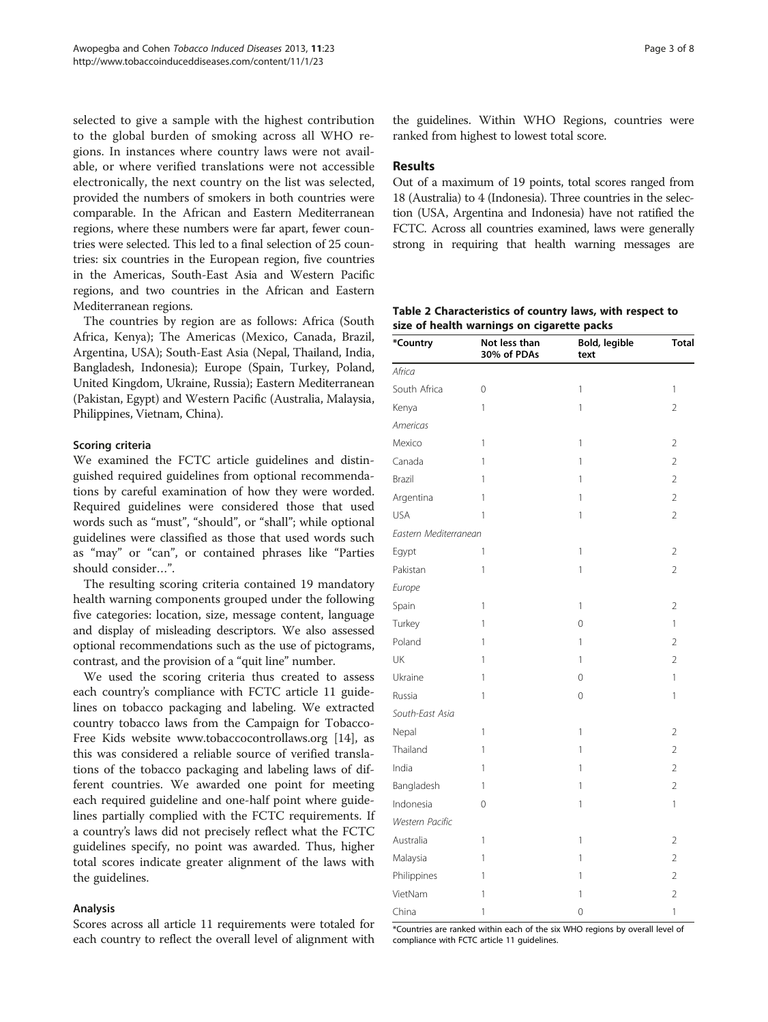<span id="page-2-0"></span>selected to give a sample with the highest contribution to the global burden of smoking across all WHO regions. In instances where country laws were not available, or where verified translations were not accessible electronically, the next country on the list was selected, provided the numbers of smokers in both countries were comparable. In the African and Eastern Mediterranean regions, where these numbers were far apart, fewer countries were selected. This led to a final selection of 25 countries: six countries in the European region, five countries in the Americas, South-East Asia and Western Pacific regions, and two countries in the African and Eastern Mediterranean regions.

The countries by region are as follows: Africa (South Africa, Kenya); The Americas (Mexico, Canada, Brazil, Argentina, USA); South-East Asia (Nepal, Thailand, India, Bangladesh, Indonesia); Europe (Spain, Turkey, Poland, United Kingdom, Ukraine, Russia); Eastern Mediterranean (Pakistan, Egypt) and Western Pacific (Australia, Malaysia, Philippines, Vietnam, China).

### Scoring criteria

We examined the FCTC article guidelines and distinguished required guidelines from optional recommendations by careful examination of how they were worded. Required guidelines were considered those that used words such as "must", "should", or "shall"; while optional guidelines were classified as those that used words such as "may" or "can", or contained phrases like "Parties should consider…".

The resulting scoring criteria contained 19 mandatory health warning components grouped under the following five categories: location, size, message content, language and display of misleading descriptors. We also assessed optional recommendations such as the use of pictograms, contrast, and the provision of a "quit line" number.

We used the scoring criteria thus created to assess each country's compliance with FCTC article 11 guidelines on tobacco packaging and labeling. We extracted country tobacco laws from the Campaign for Tobacco-Free Kids website [www.tobaccocontrollaws.org](http://www.tobaccocontrollaws.org) [\[14](#page-7-0)], as this was considered a reliable source of verified translations of the tobacco packaging and labeling laws of different countries. We awarded one point for meeting each required guideline and one-half point where guidelines partially complied with the FCTC requirements. If a country's laws did not precisely reflect what the FCTC guidelines specify, no point was awarded. Thus, higher total scores indicate greater alignment of the laws with the guidelines.

#### Analysis

Scores across all article 11 requirements were totaled for each country to reflect the overall level of alignment with the guidelines. Within WHO Regions, countries were ranked from highest to lowest total score.

## Results

Out of a maximum of 19 points, total scores ranged from 18 (Australia) to 4 (Indonesia). Three countries in the selection (USA, Argentina and Indonesia) have not ratified the FCTC. Across all countries examined, laws were generally strong in requiring that health warning messages are

Table 2 Characteristics of country laws, with respect to size of health warnings on cigarette packs

| *Country              | Not less than<br>30% of PDAs | Bold, legible<br>text | <b>Total</b>   |
|-----------------------|------------------------------|-----------------------|----------------|
| Africa                |                              |                       |                |
| South Africa          | $\mathbf 0$                  | 1                     | 1              |
| Kenya                 | 1                            | 1                     | $\overline{2}$ |
| Americas              |                              |                       |                |
| Mexico                | 1                            | 1                     | $\overline{2}$ |
| Canada                | 1                            | 1                     | $\overline{2}$ |
| Brazil                | 1                            | 1                     | $\overline{2}$ |
| Argentina             | 1                            | 1                     | $\overline{2}$ |
| <b>USA</b>            | 1                            | 1                     | $\overline{2}$ |
| Eastern Mediterranean |                              |                       |                |
| Egypt                 | 1                            | 1                     | $\overline{2}$ |
| Pakistan              | 1                            | 1                     | $\overline{2}$ |
| Europe                |                              |                       |                |
| Spain                 | 1                            | 1                     | $\overline{2}$ |
| Turkey                | 1                            | 0                     | 1              |
| Poland                | 1                            | 1                     | $\overline{2}$ |
| UK                    | 1                            | 1                     | $\overline{2}$ |
| Ukraine               | 1                            | 0                     | 1              |
| Russia                | 1                            | $\mathbf 0$           | 1              |
| South-East Asia       |                              |                       |                |
| Nepal                 | 1                            | 1                     | $\overline{2}$ |
| Thailand              | 1                            | 1                     | 2              |
| India                 | 1                            | 1                     | $\overline{2}$ |
| Bangladesh            | 1                            | 1                     | $\overline{2}$ |
| Indonesia             | 0                            | 1                     | 1              |
| Western Pacific       |                              |                       |                |
| Australia             | 1                            | 1                     | 2              |
| Malaysia              | 1                            | 1                     | $\overline{2}$ |
| Philippines           | 1                            | 1                     | $\overline{2}$ |
| VietNam               | 1                            | 1                     | $\overline{2}$ |
| China                 | 1                            | 0                     | 1              |

\*Countries are ranked within each of the six WHO regions by overall level of compliance with FCTC article 11 guidelines.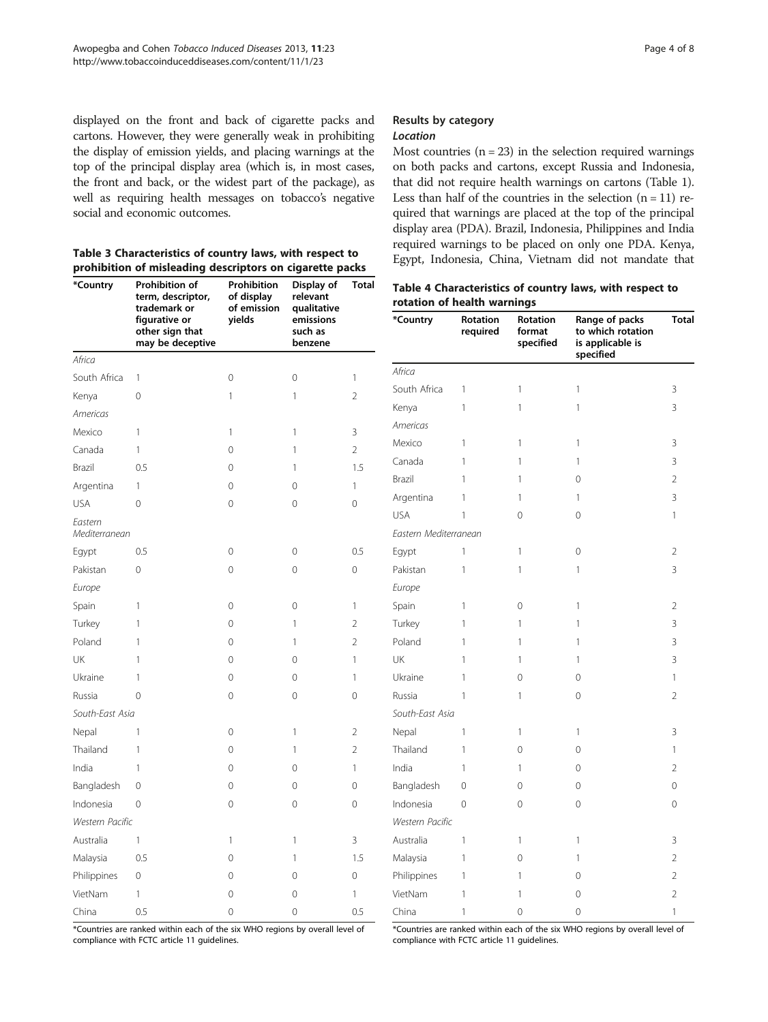<span id="page-3-0"></span>displayed on the front and back of cigarette packs and cartons. However, they were generally weak in prohibiting the display of emission yields, and placing warnings at the top of the principal display area (which is, in most cases, the front and back, or the widest part of the package), as well as requiring health messages on tobacco's negative social and economic outcomes.

| Table 3 Characteristics of country laws, with respect to |
|----------------------------------------------------------|
| prohibition of misleading descriptors on cigarette packs |

| *Country                 | Prohibition of<br>term, descriptor,<br>trademark or<br>figurative or<br>other sign that<br>may be deceptive | Prohibition<br>of display<br>of emission<br>yields | Display of<br>relevant<br>qualitative<br>emissions<br>such as<br>benzene | <b>Total</b>   |
|--------------------------|-------------------------------------------------------------------------------------------------------------|----------------------------------------------------|--------------------------------------------------------------------------|----------------|
| Africa                   |                                                                                                             |                                                    |                                                                          |                |
| South Africa             | 1                                                                                                           | $\mathbf 0$                                        | $\mathbf 0$                                                              | 1              |
| Kenya                    | 0                                                                                                           | 1                                                  | 1                                                                        | $\overline{2}$ |
| Americas                 |                                                                                                             |                                                    |                                                                          |                |
| Mexico                   | 1                                                                                                           | 1                                                  | 1                                                                        | 3              |
| Canada                   | $\mathbb{1}$                                                                                                | $\mathbf 0$                                        | 1                                                                        | $\overline{2}$ |
| Brazil                   | 0.5                                                                                                         | $\mathbf 0$                                        | 1                                                                        | 1.5            |
| Argentina                | 1                                                                                                           | $\mathbf 0$                                        | 0                                                                        | 1              |
| <b>USA</b>               | 0                                                                                                           | $\mathbf 0$                                        | 0                                                                        | 0              |
| Eastern<br>Mediterranean |                                                                                                             |                                                    |                                                                          |                |
| Egypt                    | 0.5                                                                                                         | 0                                                  | 0                                                                        | 0.5            |
| Pakistan                 | 0                                                                                                           | 0                                                  | 0                                                                        | 0              |
| Europe                   |                                                                                                             |                                                    |                                                                          |                |
| Spain                    | 1                                                                                                           | $\mathbf 0$                                        | 0                                                                        | 1              |
| Turkey                   | 1                                                                                                           | 0                                                  | 1                                                                        | $\overline{2}$ |
| Poland                   | 1                                                                                                           | $\mathbf 0$                                        | 1                                                                        | $\overline{2}$ |
| UK                       | 1                                                                                                           | $\mathbf 0$                                        | 0                                                                        | 1              |
| Ukraine                  | 1                                                                                                           | 0                                                  | 0                                                                        | 1              |
| Russia                   | 0                                                                                                           | $\mathbf 0$                                        | 0                                                                        | 0              |
| South-East Asia          |                                                                                                             |                                                    |                                                                          |                |
| Nepal                    | 1                                                                                                           | 0                                                  | 1                                                                        | $\overline{2}$ |
| Thailand                 | 1                                                                                                           | 0                                                  | 1                                                                        | $\overline{2}$ |
| India                    | 1                                                                                                           | 0                                                  | 0                                                                        | 1              |
| Bangladesh               | 0                                                                                                           | $\mathbf 0$                                        | 0                                                                        | 0              |
| Indonesia                | 0                                                                                                           | $\mathbf 0$                                        | 0                                                                        | 0              |
| Western Pacific          |                                                                                                             |                                                    |                                                                          |                |
| Australia                | 1                                                                                                           | 1                                                  | 1                                                                        | 3              |
| Malaysia                 | 0.5                                                                                                         | 0                                                  | 1                                                                        | 1.5            |
| Philippines              | $\mathbf 0$                                                                                                 | $\mathbf 0$                                        | 0                                                                        | 0              |
| VietNam                  | $\mathbb{1}$                                                                                                | $\mathbf 0$                                        | 0                                                                        | $\mathbf{1}$   |
| China                    | 0.5                                                                                                         | $\mathbf 0$                                        | $\Omega$                                                                 | 0.5            |

## Results by category Location

Most countries  $(n = 23)$  in the selection required warnings on both packs and cartons, except Russia and Indonesia, that did not require health warnings on cartons (Table [1](#page-1-0)). Less than half of the countries in the selection  $(n = 11)$  required that warnings are placed at the top of the principal display area (PDA). Brazil, Indonesia, Philippines and India required warnings to be placed on only one PDA. Kenya, Egypt, Indonesia, China, Vietnam did not mandate that

Table 4 Characteristics of country laws, with respect to rotation of health warnings

| *Country               | Rotation<br>required | Rotation<br>format<br>specified | Range of packs<br>to which rotation<br>is applicable is<br>specified | <b>Total</b>   |
|------------------------|----------------------|---------------------------------|----------------------------------------------------------------------|----------------|
| Africa                 |                      |                                 |                                                                      |                |
| South Africa           | 1                    | 1                               | 1                                                                    | 3              |
| Kenya                  | 1                    | 1                               | 1                                                                    | 3              |
| Americas               |                      |                                 |                                                                      |                |
| Mexico                 | 1                    | 1                               | $\mathbf{1}$                                                         | 3              |
| Canada                 | 1                    | 1                               | 1                                                                    | 3              |
| Brazil                 | 1                    | 1                               | 0                                                                    | $\overline{2}$ |
| Argentina              | 1                    | 1                               | 1                                                                    | 3              |
| <b>USA</b>             | 1                    | 0                               | 0                                                                    | 1              |
| Eastern Mediterranean  |                      |                                 |                                                                      |                |
| Egypt                  | 1                    | 1                               | $\mathbf 0$                                                          | 2              |
| Pakistan               | 1                    | 1                               | 1                                                                    | 3              |
| Europe                 |                      |                                 |                                                                      |                |
| Spain                  | 1                    | 0                               | 1                                                                    | 2              |
| Turkey                 | 1                    | 1                               | 1                                                                    | 3              |
| Poland                 | 1                    | 1                               | 1                                                                    | 3              |
| UK                     | 1                    | 1                               | 1                                                                    | 3              |
| Ukraine                | 1                    | 0                               | 0                                                                    | 1              |
| Russia                 | 1                    | 1                               | 0                                                                    | $\overline{2}$ |
| South-East Asia        |                      |                                 |                                                                      |                |
| Nepal                  | 1                    | 1                               | 1                                                                    | 3              |
| Thailand               | 1                    | 0                               | $\mathbf 0$                                                          | $\mathbf{1}$   |
| India                  | 1                    | 1                               | $\mathbf 0$                                                          | $\overline{2}$ |
| Bangladesh             | $\mathbf 0$          | 0                               | 0                                                                    | 0              |
| Indonesia              | $\mathbf{O}$         | 0                               | $\mathbf 0$                                                          | $\mathbf 0$    |
| <b>Western Pacific</b> |                      |                                 |                                                                      |                |
| Australia              | 1                    | 1                               | 1                                                                    | 3              |
| Malaysia               | 1                    | 0                               | 1                                                                    | $\overline{2}$ |
| Philippines            | 1                    | 1                               | 0                                                                    | $\overline{2}$ |
| VietNam                | 1                    | 1                               | $\mathbf 0$                                                          | $\overline{2}$ |
| China                  | 1                    | 0                               | $\overline{0}$                                                       | 1              |

\*Countries are ranked within each of the six WHO regions by overall level of compliance with FCTC article 11 guidelines.

\*Countries are ranked within each of the six WHO regions by overall level of compliance with FCTC article 11 guidelines.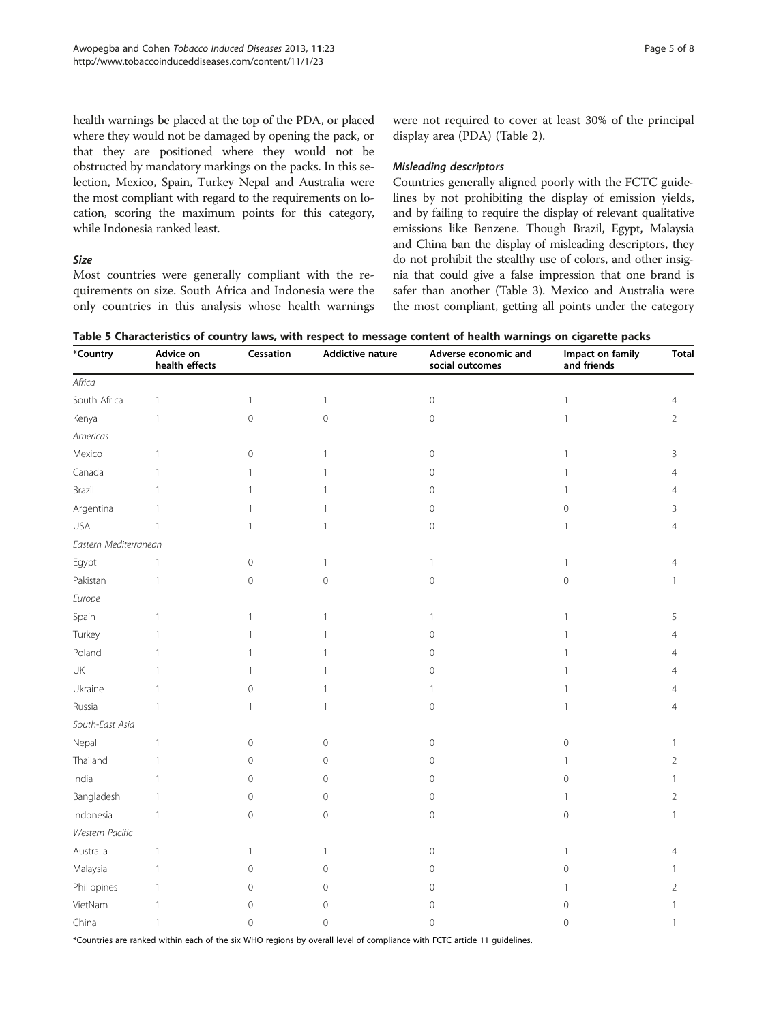<span id="page-4-0"></span>health warnings be placed at the top of the PDA, or placed where they would not be damaged by opening the pack, or that they are positioned where they would not be obstructed by mandatory markings on the packs. In this selection, Mexico, Spain, Turkey Nepal and Australia were the most compliant with regard to the requirements on location, scoring the maximum points for this category, while Indonesia ranked least.

## Size

Most countries were generally compliant with the requirements on size. South Africa and Indonesia were the only countries in this analysis whose health warnings were not required to cover at least 30% of the principal display area (PDA) (Table [2\)](#page-2-0).

#### Misleading descriptors

Countries generally aligned poorly with the FCTC guidelines by not prohibiting the display of emission yields, and by failing to require the display of relevant qualitative emissions like Benzene. Though Brazil, Egypt, Malaysia and China ban the display of misleading descriptors, they do not prohibit the stealthy use of colors, and other insignia that could give a false impression that one brand is safer than another (Table [3\)](#page-3-0). Mexico and Australia were the most compliant, getting all points under the category

Table 5 Characteristics of country laws, with respect to message content of health warnings on cigarette packs

| *Country              | Advice on<br>health effects | Cessation    | <b>Addictive nature</b> | Adverse economic and<br>social outcomes | Impact on family<br>and friends | <b>Total</b>   |
|-----------------------|-----------------------------|--------------|-------------------------|-----------------------------------------|---------------------------------|----------------|
| Africa                |                             |              |                         |                                         |                                 |                |
| South Africa          | $\mathbf{1}$                | $\mathbf{1}$ | $\mathbf{1}$            | $\mathbf 0$                             | $\mathbf{1}$                    | $\overline{4}$ |
| Kenya                 | $\mathbf{1}$                | $\mathbf 0$  | $\overline{0}$          | $\mathbf 0$                             | $\mathbf{1}$                    | $\overline{2}$ |
| Americas              |                             |              |                         |                                         |                                 |                |
| Mexico                | $\mathbf{1}$                | $\mathbf 0$  | $\mathbf{1}$            | $\mathbf 0$                             | $\mathbf{1}$                    | 3              |
| Canada                | $\mathbf{1}$                | $\mathbf{1}$ | $\mathbf{1}$            | $\mathbb O$                             | $\mathbf{1}$                    | $\overline{4}$ |
| Brazil                | $\mathbf{1}$                | $\mathbf{1}$ | 1                       | $\mathbf 0$                             | 1                               | $\overline{4}$ |
| Argentina             | $\mathbf{1}$                | $\mathbf{1}$ | $\mathbf{1}$            | $\,0\,$                                 | $\mathsf{O}\xspace$             | 3              |
| <b>USA</b>            | $\mathbf{1}$                | $\mathbf{1}$ | $\mathbf{1}$            | $\mathbb O$                             | $\mathbf{1}$                    | $\overline{4}$ |
| Eastern Mediterranean |                             |              |                         |                                         |                                 |                |
| Egypt                 | $\mathbf{1}$                | $\mathbf 0$  | $\mathbf{1}$            | $\mathbf{1}$                            | $\overline{1}$                  | 4              |
| Pakistan              | $\mathbf{1}$                | $\mathbf 0$  | $\mathbf 0$             | $\mathbb O$                             | $\mathbf 0$                     | 1              |
| Europe                |                             |              |                         |                                         |                                 |                |
| Spain                 | $\mathbf{1}$                | $\mathbf{1}$ | $\mathbf{1}$            | $\mathbf{1}$                            | $\mathbf{1}$                    | 5              |
| Turkey                | $\mathbf{1}$                | $\mathbf{1}$ | $\mathbf{1}$            | $\mathbf 0$                             | $\mathbf{1}$                    | $\overline{4}$ |
| Poland                | $\mathbf{1}$                | $\mathbf{1}$ | 1                       | $\circ$                                 | $\mathbf{1}$                    | 4              |
| UK                    | $\mathbf{1}$                | $\mathbf{1}$ | $\mathbf{1}$            | $\mathbf 0$                             | $\mathbf{1}$                    | $\overline{4}$ |
| Ukraine               | $\mathbf{1}$                | $\mathbf 0$  | $\mathbf{1}$            | $\mathbf{1}$                            | 1                               | 4              |
| Russia                | $\mathbf{1}$                | $\mathbf{1}$ | $\mathbf{1}$            | $\mathbf 0$                             | $\mathbf{1}$                    | $\overline{4}$ |
| South-East Asia       |                             |              |                         |                                         |                                 |                |
| Nepal                 | $\mathbf{1}$                | $\mathbf 0$  | $\mathbf 0$             | $\mathbf 0$                             | $\mathsf{O}\xspace$             | 1              |
| Thailand              | $\mathbf{1}$                | $\mathbf 0$  | $\mathbf 0$             | $\mathbf 0$                             | $\mathbf{1}$                    | $\overline{2}$ |
| India                 | $\mathbf{1}$                | $\mathbf 0$  | $\mathbf 0$             | $\mathbf 0$                             | $\mathbf 0$                     | 1              |
| Bangladesh            | $\mathbf{1}$                | $\mathbf 0$  | $\mathbf 0$             | $\mathbf 0$                             | $\mathbf{1}$                    | $\overline{2}$ |
| Indonesia             | $\mathbf{1}$                | $\mathbf 0$  | $\circ$                 | $\mathbf 0$                             | $\mathbf 0$                     | $\mathbf{1}$   |
| Western Pacific       |                             |              |                         |                                         |                                 |                |
| Australia             | $\mathbf{1}$                | $\mathbf{1}$ | $\mathbf{1}$            | $\mathbb O$                             | $\mathbf{1}$                    | $\overline{4}$ |
| Malaysia              | $\mathbf{1}$                | $\mathbf 0$  | $\mathbf 0$             | $\mathbf 0$                             | $\mathbf 0$                     | 1              |
| Philippines           | $\mathbf{1}$                | $\mathbf 0$  | $\mathbf{0}$            | $\mathbb O$                             | $\mathbf{1}$                    | $\overline{2}$ |
| VietNam               | $\mathbf{1}$                | $\mathbf 0$  | $\mathbf{O}$            | $\mathbf 0$                             | $\mathbf 0$                     | $\mathbf{1}$   |
| China                 | $\mathbf{1}$                | $\Omega$     | $\Omega$                | $\Omega$                                | $\Omega$                        | $\mathbf{1}$   |

\*Countries are ranked within each of the six WHO regions by overall level of compliance with FCTC article 11 guidelines.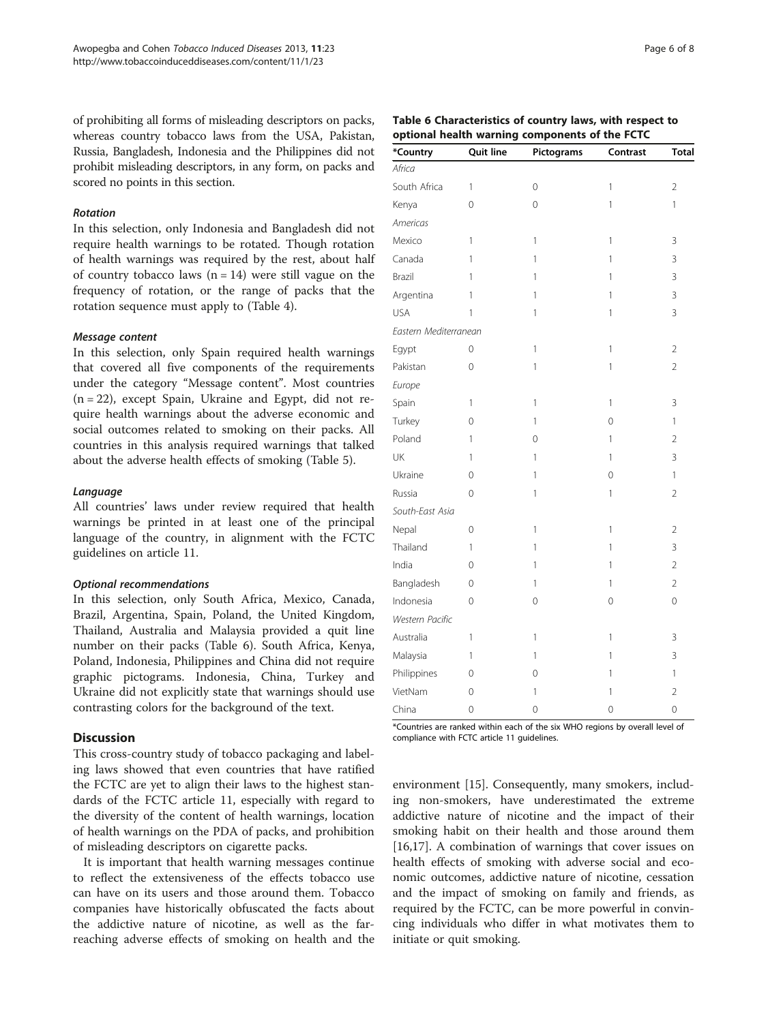of prohibiting all forms of misleading descriptors on packs, whereas country tobacco laws from the USA, Pakistan, Russia, Bangladesh, Indonesia and the Philippines did not prohibit misleading descriptors, in any form, on packs and scored no points in this section.

#### Rotation

In this selection, only Indonesia and Bangladesh did not require health warnings to be rotated. Though rotation of health warnings was required by the rest, about half of country tobacco laws  $(n = 14)$  were still vague on the frequency of rotation, or the range of packs that the rotation sequence must apply to (Table [4](#page-3-0)).

#### Message content

In this selection, only Spain required health warnings that covered all five components of the requirements under the category "Message content". Most countries (n = 22), except Spain, Ukraine and Egypt, did not require health warnings about the adverse economic and social outcomes related to smoking on their packs. All countries in this analysis required warnings that talked about the adverse health effects of smoking (Table [5\)](#page-4-0).

#### Language

All countries' laws under review required that health warnings be printed in at least one of the principal language of the country, in alignment with the FCTC guidelines on article 11.

#### Optional recommendations

In this selection, only South Africa, Mexico, Canada, Brazil, Argentina, Spain, Poland, the United Kingdom, Thailand, Australia and Malaysia provided a quit line number on their packs (Table 6). South Africa, Kenya, Poland, Indonesia, Philippines and China did not require graphic pictograms. Indonesia, China, Turkey and Ukraine did not explicitly state that warnings should use contrasting colors for the background of the text.

#### **Discussion**

This cross-country study of tobacco packaging and labeling laws showed that even countries that have ratified the FCTC are yet to align their laws to the highest standards of the FCTC article 11, especially with regard to the diversity of the content of health warnings, location of health warnings on the PDA of packs, and prohibition of misleading descriptors on cigarette packs.

It is important that health warning messages continue to reflect the extensiveness of the effects tobacco use can have on its users and those around them. Tobacco companies have historically obfuscated the facts about the addictive nature of nicotine, as well as the farreaching adverse effects of smoking on health and the

| *Country              | <b>Quit line</b> | Pictograms   | Contrast | Total          |
|-----------------------|------------------|--------------|----------|----------------|
| Africa                |                  |              |          |                |
| South Africa          | 1                | 0            | 1        | 2              |
| Kenya                 | 0                | 0            | 1        | 1              |
| Americas              |                  |              |          |                |
| Mexico                | 1                | $\mathbf{1}$ | 1        | 3              |
| Canada                | 1                | 1            | 1        | 3              |
| Brazil                | 1                | 1            | 1        | 3              |
| Argentina             | 1                | 1            | 1        | 3              |
| <b>USA</b>            | 1                | 1            | 1        | 3              |
| Eastern Mediterranean |                  |              |          |                |
| Egypt                 | $\mathbf 0$      | 1            | 1        | $\overline{2}$ |
| Pakistan              | 0                | 1            | 1        | $\overline{2}$ |
| Europe                |                  |              |          |                |
| Spain                 | 1                | 1            | 1        | 3              |
| Turkey                | $\mathbf 0$      | 1            | 0        | 1              |
| Poland                | $\mathbf{1}$     | 0            | 1        | $\overline{2}$ |
| UK                    | 1                | 1            | 1        | 3              |
| Ukraine               | 0                | 1            | 0        | 1              |
| Russia                | 0                | 1            | 1        | $\overline{2}$ |
| South-East Asia       |                  |              |          |                |
| Nepal                 | 0                | 1            | 1        | 2              |
| Thailand              | 1                | 1            | 1        | 3              |
| India                 | 0                | 1            | 1        | $\overline{2}$ |
| Bangladesh            | 0                | 1            | 1        | $\overline{2}$ |
| Indonesia             | 0                | 0            | 0        | $\mathbf 0$    |
| Western Pacific       |                  |              |          |                |
| Australia             | $\mathbf{1}$     | 1            | 1        | 3              |
| Malaysia              | 1                | 1            | 1        | 3              |
| Philippines           | 0                | 0            | 1        | 1              |
| VietNam               | 0                | 1            | 1        | 2              |
| China                 | $\mathbf 0$      | 0            | 0        | $\mathbf 0$    |

\*Countries are ranked within each of the six WHO regions by overall level of compliance with FCTC article 11 guidelines.

environment [[15](#page-7-0)]. Consequently, many smokers, including non-smokers, have underestimated the extreme addictive nature of nicotine and the impact of their smoking habit on their health and those around them [[16,17\]](#page-7-0). A combination of warnings that cover issues on health effects of smoking with adverse social and economic outcomes, addictive nature of nicotine, cessation and the impact of smoking on family and friends, as required by the FCTC, can be more powerful in convincing individuals who differ in what motivates them to initiate or quit smoking.

#### Table 6 Characteristics of country laws, with respect to optional health warning components of the FCTC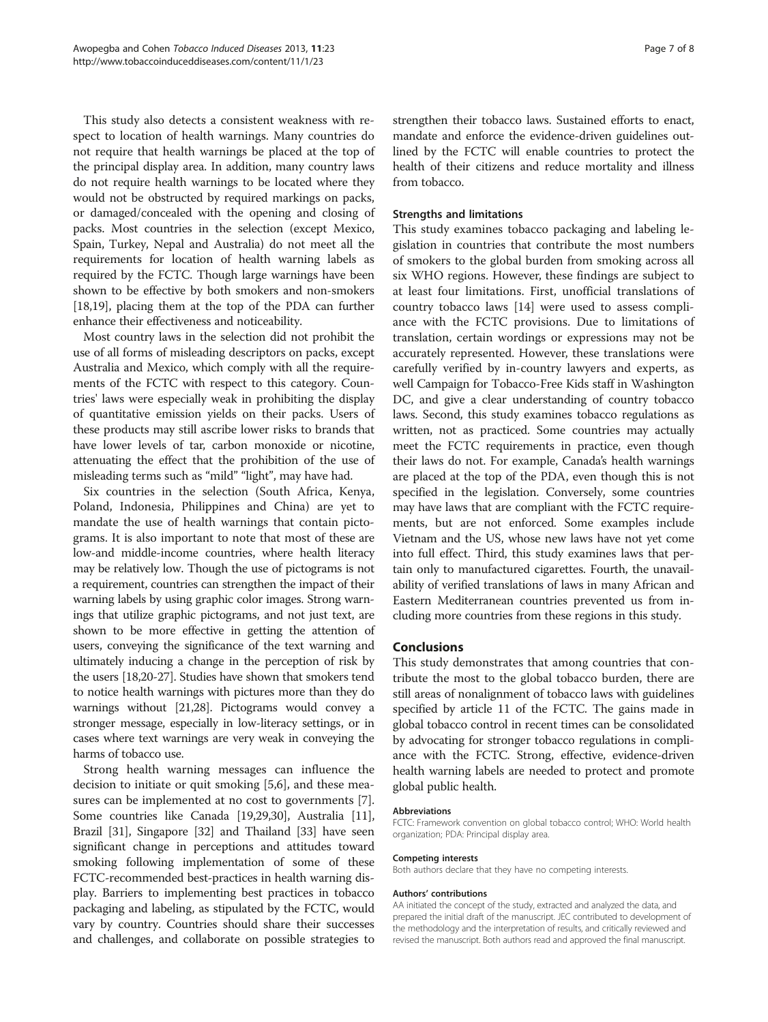This study also detects a consistent weakness with respect to location of health warnings. Many countries do not require that health warnings be placed at the top of the principal display area. In addition, many country laws do not require health warnings to be located where they would not be obstructed by required markings on packs, or damaged/concealed with the opening and closing of packs. Most countries in the selection (except Mexico, Spain, Turkey, Nepal and Australia) do not meet all the requirements for location of health warning labels as required by the FCTC. Though large warnings have been shown to be effective by both smokers and non-smokers [[18,19](#page-7-0)], placing them at the top of the PDA can further enhance their effectiveness and noticeability.

Most country laws in the selection did not prohibit the use of all forms of misleading descriptors on packs, except Australia and Mexico, which comply with all the requirements of the FCTC with respect to this category. Countries' laws were especially weak in prohibiting the display of quantitative emission yields on their packs. Users of these products may still ascribe lower risks to brands that have lower levels of tar, carbon monoxide or nicotine, attenuating the effect that the prohibition of the use of misleading terms such as "mild" "light", may have had.

Six countries in the selection (South Africa, Kenya, Poland, Indonesia, Philippines and China) are yet to mandate the use of health warnings that contain pictograms. It is also important to note that most of these are low-and middle-income countries, where health literacy may be relatively low. Though the use of pictograms is not a requirement, countries can strengthen the impact of their warning labels by using graphic color images. Strong warnings that utilize graphic pictograms, and not just text, are shown to be more effective in getting the attention of users, conveying the significance of the text warning and ultimately inducing a change in the perception of risk by the users [[18,20-27\]](#page-7-0). Studies have shown that smokers tend to notice health warnings with pictures more than they do warnings without [[21,28\]](#page-7-0). Pictograms would convey a stronger message, especially in low-literacy settings, or in cases where text warnings are very weak in conveying the harms of tobacco use.

Strong health warning messages can influence the decision to initiate or quit smoking [[5,6\]](#page-7-0), and these measures can be implemented at no cost to governments [[7](#page-7-0)]. Some countries like Canada [[19,29,30\]](#page-7-0), Australia [[11](#page-7-0)], Brazil [\[31\]](#page-7-0), Singapore [\[32](#page-7-0)] and Thailand [\[33\]](#page-7-0) have seen significant change in perceptions and attitudes toward smoking following implementation of some of these FCTC-recommended best-practices in health warning display. Barriers to implementing best practices in tobacco packaging and labeling, as stipulated by the FCTC, would vary by country. Countries should share their successes and challenges, and collaborate on possible strategies to strengthen their tobacco laws. Sustained efforts to enact, mandate and enforce the evidence-driven guidelines outlined by the FCTC will enable countries to protect the health of their citizens and reduce mortality and illness from tobacco.

#### Strengths and limitations

This study examines tobacco packaging and labeling legislation in countries that contribute the most numbers of smokers to the global burden from smoking across all six WHO regions. However, these findings are subject to at least four limitations. First, unofficial translations of country tobacco laws [[14\]](#page-7-0) were used to assess compliance with the FCTC provisions. Due to limitations of translation, certain wordings or expressions may not be accurately represented. However, these translations were carefully verified by in-country lawyers and experts, as well Campaign for Tobacco-Free Kids staff in Washington DC, and give a clear understanding of country tobacco laws. Second, this study examines tobacco regulations as written, not as practiced. Some countries may actually meet the FCTC requirements in practice, even though their laws do not. For example, Canada's health warnings are placed at the top of the PDA, even though this is not specified in the legislation. Conversely, some countries may have laws that are compliant with the FCTC requirements, but are not enforced. Some examples include Vietnam and the US, whose new laws have not yet come into full effect. Third, this study examines laws that pertain only to manufactured cigarettes. Fourth, the unavailability of verified translations of laws in many African and Eastern Mediterranean countries prevented us from including more countries from these regions in this study.

#### Conclusions

This study demonstrates that among countries that contribute the most to the global tobacco burden, there are still areas of nonalignment of tobacco laws with guidelines specified by article 11 of the FCTC. The gains made in global tobacco control in recent times can be consolidated by advocating for stronger tobacco regulations in compliance with the FCTC. Strong, effective, evidence-driven health warning labels are needed to protect and promote global public health.

#### Abbreviations

FCTC: Framework convention on global tobacco control; WHO: World health organization; PDA: Principal display area.

#### Competing interests

Both authors declare that they have no competing interests.

#### Authors' contributions

AA initiated the concept of the study, extracted and analyzed the data, and prepared the initial draft of the manuscript. JEC contributed to development of the methodology and the interpretation of results, and critically reviewed and revised the manuscript. Both authors read and approved the final manuscript.